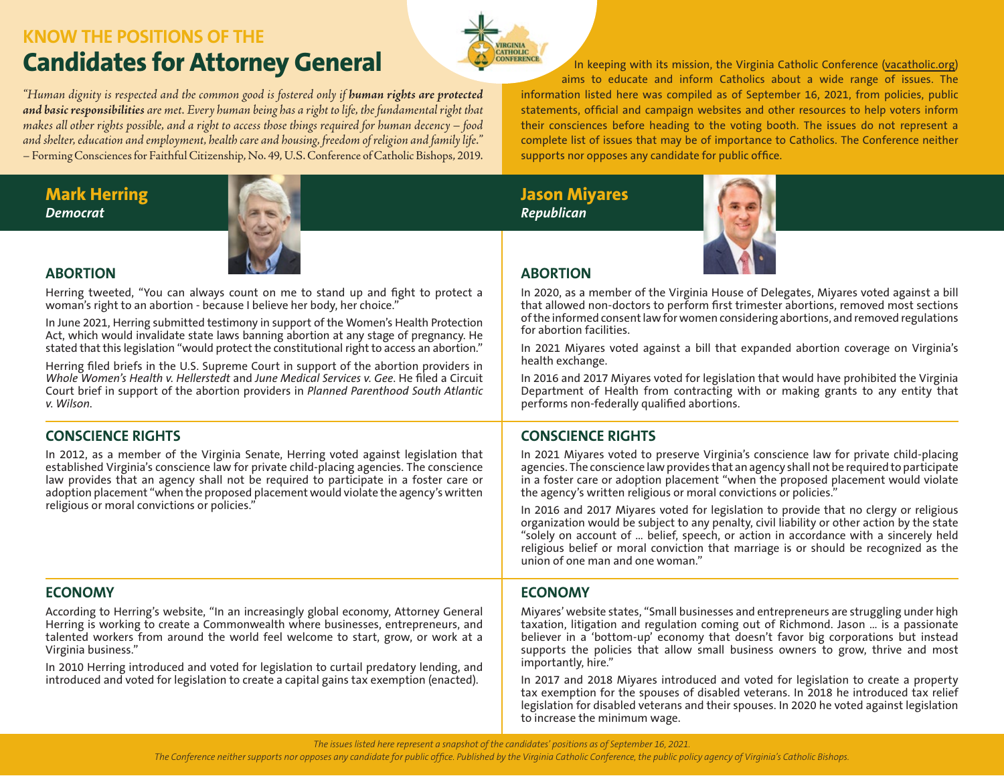# **KNOW THE POSITIONS OF THE Candidates for Attorney General In keeping with its mission, the Virginia Catholic Conference [\(vacatholic.org](http://www.vacatholic.org))**

*"Human dignity is respected and the common good is fostered only if human rights are protected and basic responsibilities are met. Every human being has a right to life, the fundamental right that makes all other rights possible, and a right to access those things required for human decency – food and shelter, education and employment, health care and housing, freedom of religion and family life."*  – Forming Consciences for Faithful Citizenship, No. 49, U.S. Conference of Catholic Bishops, 2019.

# **Mark Herring** *Democrat*

**ABORTION**



Herring tweeted, "You can always count on me to stand up and fight to protect a woman's right to an abortion - because I believe her body, her choice."

In June 2021, Herring submitted testimony in support of the Women's Health Protection Act, which would invalidate state laws banning abortion at any stage of pregnancy. He stated that this legislation "would protect the constitutional right to access an abortion."

Herring filed briefs in the U.S. Supreme Court in support of the abortion providers in *Whole Women's Health v. Hellerstedt* and *June Medical Services v. Gee*. He filed a Circuit Court brief in support of the abortion providers in *Planned Parenthood South Atlantic v. Wilson*.

# **CONSCIENCE RIGHTS**

In 2012, as a member of the Virginia Senate, Herring voted against legislation that established Virginia's conscience law for private child-placing agencies. The conscience law provides that an agency shall not be required to participate in a foster care or adoption placement "when the proposed placement would violate the agency's written religious or moral convictions or policies."

# **ECONOMY**

According to Herring's website, "In an increasingly global economy, Attorney General Herring is working to create a Commonwealth where businesses, entrepreneurs, and talented workers from around the world feel welcome to start, grow, or work at a Virginia business."

In 2010 Herring introduced and voted for legislation to curtail predatory lending, and introduced and voted for legislation to create a capital gains tax exemption (enacted).

aims to educate and inform Catholics about a wide range of issues. The information listed here was compiled as of September 16, 2021, from policies, public statements, official and campaign websites and other resources to help voters inform their consciences before heading to the voting booth. The issues do not represent a complete list of issues that may be of importance to Catholics. The Conference neither supports nor opposes any candidate for public office.

**Jason Miyares** *Republican*

*<u>RCINIA</u>* 



# **ABORTION**

In 2020, as a member of the Virginia House of Delegates, Miyares voted against a bill that allowed non-doctors to perform first trimester abortions, removed most sections of the informed consent law for women considering abortions, and removed regulations for abortion facilities.

In 2021 Miyares voted against a bill that expanded abortion coverage on Virginia's health exchange.

In 2016 and 2017 Miyares voted for legislation that would have prohibited the Virginia Department of Health from contracting with or making grants to any entity that performs non-federally qualified abortions.

# **CONSCIENCE RIGHTS**

In 2021 Miyares voted to preserve Virginia's conscience law for private child-placing agencies. The conscience law provides that an agency shall not be required to participate in a foster care or adoption placement "when the proposed placement would violate the agency's written religious or moral convictions or policies."

In 2016 and 2017 Miyares voted for legislation to provide that no clergy or religious organization would be subject to any penalty, civil liability or other action by the state "solely on account of … belief, speech, or action in accordance with a sincerely held religious belief or moral conviction that marriage is or should be recognized as the union of one man and one woman."

# **ECONOMY**

Miyares' website states, "Small businesses and entrepreneurs are struggling under high taxation, litigation and regulation coming out of Richmond. Jason … is a passionate believer in a 'bottom-up' economy that doesn't favor big corporations but instead supports the policies that allow small business owners to grow, thrive and most importantly, hire."

In 2017 and 2018 Miyares introduced and voted for legislation to create a property tax exemption for the spouses of disabled veterans. In 2018 he introduced tax relief legislation for disabled veterans and their spouses. In 2020 he voted against legislation to increase the minimum wage.

*The issues listed here represent a snapshot of the candidates' positions as of September 16, 2021.*

*The Conference neither supports nor opposes any candidate for public office. Published by the Virginia Catholic Conference, the public policy agency of Virginia's Catholic Bishops.*